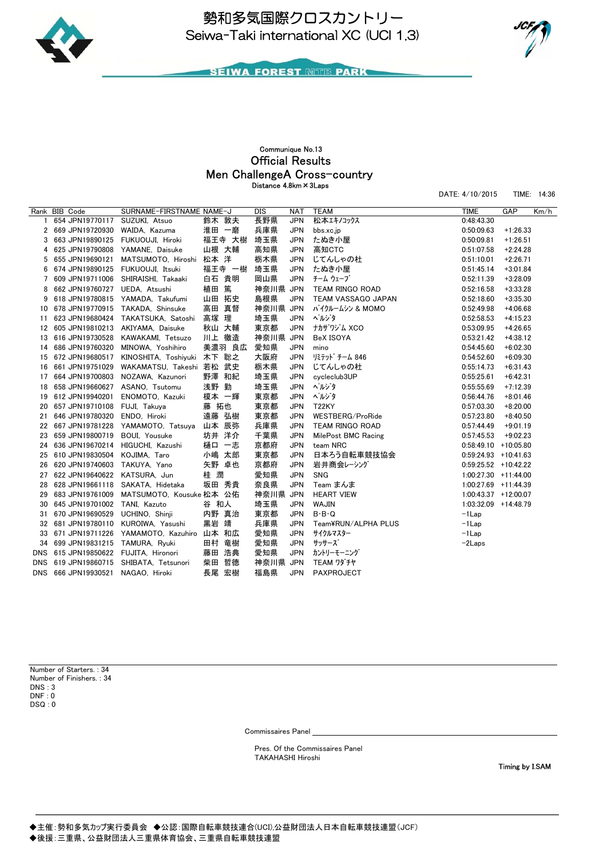



DATE: 4/10/2015 TIME: 14:36

**SEIWA FOREST MITE PARK** 

## Official Results Communique No.13 Distance 4.8km×3Laps Men ChallengeA Cross-country

Rank BIB Code SURNAME-FIRSTNAME NAME-J DIS NAT TEAM TIME GAP Km/h 1 654 JPN 19770117 2 669 JPN19720930 WAIDA, Kazuma 淮田 一磨 兵庫県 JPN bbs.xc.jp 0:50:09.63 +1:26.33 3 663 JPN19890125 FUKUOUJI, Hiroki 福王寺 大樹 埼玉県 JPN たぬき小屋 0:50:09.81 +1:26.51 4 625 JPN19790808 YAMANE, Daisuke 山根 大輔 高知県 JPN 高知CTC 0:51:07.58 +2:24.28 5 655 JPN19690121 MATSUMOTO, Hiroshi 松本 洋 栃木県 JPN じてんしゃの杜 0:51:10.01 +2:26.71 6 674 JPN19890125 FUKUOUJI, Itsuki 福王寺 一樹 埼玉県 JPN たぬき小屋 0:51:45.14 +3:01.84 7 609 JPN19711006 SHIRAISHI, Takaaki 白石 貴明 岡山県 JPN チーム ウェーブ 0:52:11.39 +3:28.09 8 662 JPN19760727 UEDA, Atsushi 植田 篤 神奈川県 JPN TEAM RINGO ROAD 0:52:16.58 +3:33.28 9 618 JPN19780815 YAMADA, Takufumi 山田 拓史 島根県 JPN TEAM VASSAGO JAPAN 0:52:18.60 +3:35.30 10 678 JPN19770915 TAKADA, Shinsuke 高田 真督 神奈川県 JPN バイクルームシン & MOMO 0:52:49.98 +4:06.68 11 623 JPN19680424 TAKATSUKA, Satoshi 高塚 理 埼玉県 JPN ペルジタ 0:52:58.53 +4:15.23 12 605 JPN19810213 AKIYAMA, Daisuke 秋山 大輔 東京都 JPN ナカザワジム XCO 0:53:09.95 +4:26.65 13 616 JPN19730528 KAWAKAMI, Tetsuzo 川上 徹造 神奈川県 JPN BeX ISOYA 0:53:21.42 +4:38.12 14 686 JPN19760320 MINOWA, Yoshihiro 美濃羽 良広 愛知県 JPN mino 0:54:45.60 +6:02.30 15 672 JPN19680517 KINOSHITA, Toshivuki 木下 聡之 大阪府 JPN リミテッドチーム 846 0:54:52.60 +6:09.30 16 661 JPN19751029 WAKAMATSU Takeshi 若松 武史 垢木県 JPN 「ごてんしゃの杜 しゃしゃ いっちゃん 0:55:14.73 +6:31.43 17 664 JPN19700803 NOZAWA, Kazunori 野澤 和紀 埼玉県 JPN cycleclub3UP 0:55:25.61 +6:42.31 18 658 JPN19660627 ASANO, Tsutomu 浅野 勤 埼玉県 JPN ペルジタ 0:55:55.69 +7:12.39 19 612 JPN19940201 ENOMOTO, Kazuki 榎本 一輝 東京都 JPN ペルジタ 0:56:44.76 +8:01.46 20 657 JPN19710108 FUJI, Takuya 藤 拓也 東京都 JPN T22KY 0:57:03.30 +8:20.00 21 646 JPN19780320 ENDO, Hiroki 遠藤 弘樹 東京都 JPN WESTBERG/ProRide 0:57:23.80 +8:40.50 22 667 JPN19781228 YAMAMOTO, Tatsuya 山本 辰弥 兵庫県 JPN TEAM RINGO ROAD 0:57:44.49 +9:01.19 23 659 JPN19800719 BOUI, Yousuke 坊井 洋介 千葉県 JPN MilePost BMC Racing 0:57:45.53 +9:02.23 24 636 JPN19670214 HIGUCHI, Kazushi 樋口 一志 京都府 JPN team NRC 0:58:49.10 +10:05.80 25 610 JPN19830504 KOJIMA, Taro 小嶋 太郎 東京都 JPN 日本ろう自転車競技協会 0:59:24.93 +10:41.63 26 620 JPN19740603 TAKUYA Yano 矢野 卓也 京都府 JPN 岩井商会レーシング 0·59·25.52 +10·42.22 27 622 JPN19640622 KATSURA, Jun 桂 潤 愛知県 JPN SNG 1:00:27.30 +11:44.00 28 628 JPN19661118 SAKATA, Hidetaka 坂田 秀貴 奈良県 JPN Team まんま 1:00:27.69 +11:44.39 29 683 JPN19761009 MATSUMOTO, Kousuke 松本 公佑 神奈川県 JPN HEART VIEW 1:00:43.37 +12:00.07 30 645 JPN19701002 TANI, Kazuto 谷 和人 埼玉県 JPN WAJIN 1:03:32.09 +14:48.79 31 670 JPN19690529 UCHINO, Shinji 内野 真治 東京都 JPN B・B・Q -1Lap 32 681 JPN19780110 KUROIWA, Yasushi 黒岩 靖 兵庫県 JPN Team¥RUN/ALPHA PLUS ------------33 671 JPN19711226 YAMAMOTO, Kazuhiro 山本 和広 愛知県 JPN サイクルマスター -1Lap 34 699 JPN19831215 TAMURA, Ryuki 田村 竜樹 愛知県 JPN サッサーズ -2Laps DNS 615 JPN19850622 FUJITA, Hironori - 藤田 浩典 - 愛知県 - JPN カントリーモーニンク<br>DNS 619 JPN19860715 SHIBATA, Tetsunori - 柴田 哲德 - 神奈川県 JPN TEAM ワダチヤ DNS 619 JPN19860715 SHIBATA, Tetsunori 柴田 哲德 神奈川県 JPN DNS 666 JPN19930521 NAGAO, Hiroki 長尾 宏樹 福島県 JPN PAXPROJECT

DSQ : 0 Number of Starters. : 34 Number of Finishers. : 34 DNS : 3  $DNF \cdot 0$ 

Commissaires Panel

Pres. Of the Commissaires Panel TAKAHASHI Hiroshi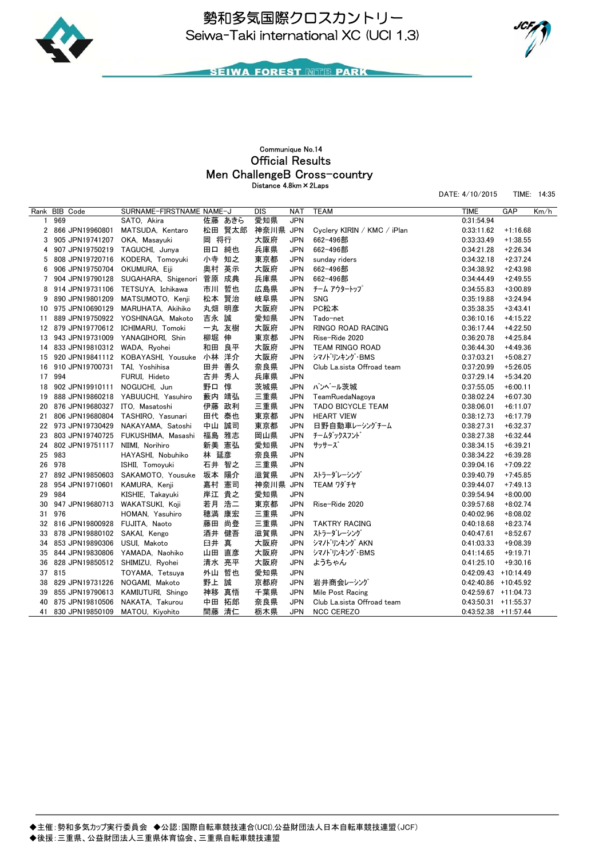



DATE: 4/10/2015 TIME: 14:35

**SEIWA FOREST MITE PARK** 

### Men ChallengeB Cross-country Official Results Communique No.14 Distance 4.8km×2Laps

Rank BIB Code SURNAME-FIRSTNAME NAME-J DIS NAT TEAM TIME GAP Km/h 1 969 SATO, Akira 佐藤 あきら 愛知県 JPN 0:31:54.94 2 866 JPN19960801 MATSUDA, Kentaro 松田 賢太郎 神奈川県 JPN Cyclery KIRIN / KMC / iPlan 0:33:11.62 +1:16.68 3 905 JPN19741207 OKA, Masayuki 岡 将行 大阪府 JPN 662-496部 0:33:33.49 +1:38.55 4 907 JPN19750219 TAGUCHI, Junya 田口 純也 兵庫県 JPN 662-496部 0:34:21.28 +2:26.34 5 808 JPN19720716 KODERA, Tomoyuki 小寺 知之 東京都 JPN sunday riders 0:34:32.18 +2:37.24 6 906 JPN19750704 OKUMURA, Eiji 奥村 英示 大阪府 JPN 662-496部 0:34:38.92 +2:43.98 7 904 JPN19790128 SUGAHARA, Shigenori 菅原 成典 兵庫県 JPN 662-496部 0:34:44.49 +2:49.55 8 914 JPN19731106 TETSUYA, Ichikawa 市川 哲也 広島県 JPN チーム アウタートップ 0:34:55.83 +3:00.89 9 890 JPN19801209 MATSUMOTO, Kenii 松本 腎治 岐阜県 JPN SNG 0:35:19.88 +3:24.94 10 975 JPN10690129 MARUHATA, Akihiko 丸畑 明彦 大阪府 JPN PC松本 0:35:38.35 +3:43.41 11 889 JPN19750922 YOSHINAGA, Makoto 吉永 誠 愛知県 JPN Tado-net 0:36:10.16 +4:15.22 12 879 JPN19770612 ICHIMARU, Tomoki 一丸 友樹 大阪府 JPN RINGO ROAD RACING 0:36:17.44 +4:22.50 13 943 JPN19731009 YANAGIHORI, Shin 柳堀 伸 東京都 JPN Rise-Ride 2020 0:36:20.78 +4:25.84 14 833 JPN19810312 WADA, Ryohei 和田 良平 大阪府 JPN TEAM RINGO ROAD 0:36:44.30 +4:49.36 15 920 JPN19841112 KOBAYASHI, Yousuke 小林 洋介 大阪府 JPN シマノドリンキング・BMS 0:37:03.21 +5:08.27 16 910 JPN19700731 TAI, Yoshihisa 田井 善久 奈良県 JPN Club La.sista Offroad team 0:37:20.99 +5:26.05 17 994 FURUI, Hideto 古井 秀人 兵庫県 JPN 0:37:29.14 +5:34.20 18 902 JPN19910111 NOGUCHI, Jun 野口 惇 茨城県 JPN バンベール茨城 0:37:55.05 +6:00.11 19 888 JPN19860218 YABUUCHI, Yasuhiro 藪内 靖弘 三重県 JPN TeamRuedaNagoya 0:38:02.24 +6:07.30 20 876 JPN19680327 ITO, Masatoshi 伊藤 政利 三重県 JPN TADO BICYCLE TEAM 0:38:06.01 +6:11.07 21 806 JPN19680804 TASHIRO Yasunari 田代 泰也 東京都 JPN HEART VIEW 0:38:12.73 +6:17.79 22 973 JPN19730429 NAKAYAMA, Satoshi 中山 誠司 東京都 JPN 日野自動車レーシングチーム 0:38:27.31 +6:32.37 23 803 JPN19740725 FUKUSHIMA, Masashi 福島 雅志 岡山県 JPN チームダックスフンド 0:38:27.38 +6:32.44 24 802 JPN19751117 NIIMI, Norihiro 新美 憲弘 愛知県 JPN サッサーズ 0:38:34.15 +6:39.21 25 983 HAYASHI, Nobuhiko 林 延彦 奈良県 JPN 0:38:34.22 +6:39.28 26 978 ISHII, Tomoyuki 石井 智之 三重県 JPN 0:39:04.16 +7:09.22 27 892 JPN19850603 SAKAMOTO, Yousuke 坂本 陽介 滋賀県 JPN ストラーダレーシング 0:39:40.79 +7:45.85 28 954 JPN19710601 KAMURA, Kenji 嘉村 憲司 神奈川県 JPN TEAM ワダチヤ 0:39:44.07 +7:49.13 29 984 KISHIE, Takayuki 岸江 貴之 愛知県 JPN 0:39:54.94 +8:00.00 30 947 JPN19680713 WAKATSUKI, Koji 若月 浩二 東京都 JPN Rise-Ride 2020 0:39:57.68 +8:02.74 31 976 HOMAN, Yasuhiro 穂満 康宏 三重県 JPN 0:40:02.96 +8:08.02 32 816 JPN19800928 FUJITA, Naoto 藤田 尚登 三重県 JPN TAKTRY RACING 0:40:18.68 +8:23.74 33 878 JPN19880102 SAKAI, Kengo 酒井 健吾 滋賀県 JPN ストラーダレーシング 0:40:47.61 +8:52.67 34 853 JPN19890306 USUI, Makoto 臼井 真 大阪府 JPN シマノドリンキング AKN 0:41:03.33 +9:08.39 35 844 JPN19830806 YAMADA, Naohiko 山田 直彦 大阪府 JPN シマバリンキング・BMS 0:41:14.65 +9:19.71 36 828 JPN19850512 SHIMIZU, Ryohei 清水 亮平 大阪府 JPN ようちゃん 0:41:25.10 +9:30.16 37 815 TOYAMA, Tetsuya 外山 哲也 愛知県 JPN 0:42:09.43 +10:14.49 38 829 JPN19731226 NOGAMI, Makoto 野上 誠 京都府 JPN 岩井商会レーシング 0:42:40.86 +10:45.92 39 855 JPN19790613 KAMIUTURI, Shingo 神移 真悟 千葉県 JPN Mile Post Racing 0:42:59.67 +11:04.73 40 875 JPN19810506 NAKATA, Takurou 中田 拓郎 奈良県 JPN Club La.sista Offroad team 0:43:50.31 +11:55.37 41 830 JPN19850109 MATOU, Kiyohito 間藤 清仁 栃木県 <u>JPN NCC CEREZO 0.43:52.38 +11:57.44</u>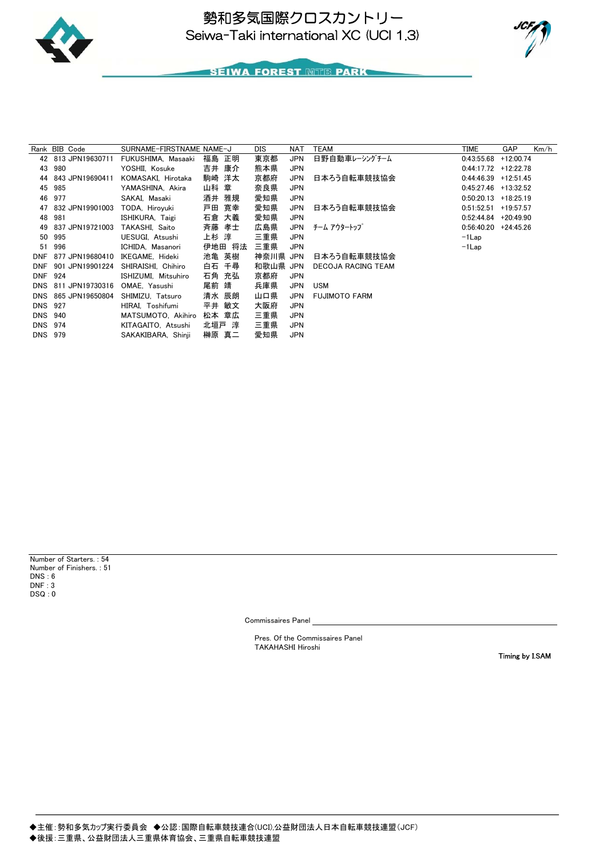



# **SEIWA FOREST MITE PARK**

|                | Rank BIB Code       | SURNAME-FIRSTNAME NAME-J |        | DIS      | NAT        | TEAM                 | TIME                   | <b>GAP</b>  | Km/h |
|----------------|---------------------|--------------------------|--------|----------|------------|----------------------|------------------------|-------------|------|
|                | 42 813 JPN19630711  | FUKUSHIMA, Masaaki       | 福島 正明  | 東京都      | <b>JPN</b> | 日野自動車レーシングチーム        | 0:43:55.68             | $+12:00.74$ |      |
| 43             | 980                 | YOSHII. Kosuke           | 吉井 康介  | 熊本県      | <b>JPN</b> |                      | $0:44:17.72$ +12:22.78 |             |      |
| 44             | 843 JPN19690411     | KOMASAKI, Hirotaka       | 駒崎 洋太  | 京都府      | JPN        | 日本ろう自転車競技協会          | 0:44:46.39             | $+12:51.45$ |      |
|                | 45 985              | YAMASHINA, Akira         | 山科 章   | 奈良県      | JPN        |                      | 0:45:27.46             | +13:32.52   |      |
|                | 46 977              | SAKAI, Masaki            | 酒井 雅規  | 愛知県      | <b>JPN</b> |                      | 0:50:20.13             | $+18:25.19$ |      |
|                | 47 832 JPN19901003  | TODA, Hiroyuki           | 戸田 寛幸  | 愛知県      | JPN        | 日本ろう自転車競技協会          | 0:51:52.51             | $+19:57.57$ |      |
| 48             | 981                 | ISHIKURA. Taigi          | 石倉 大義  | 愛知県      | <b>JPN</b> |                      | 0:52:44.84             | +20:49.90   |      |
| 49             | 837 JPN19721003     | TAKASHI. Saito           | 斉藤 孝士  | 広島県      |            | JPN チーム アウタートップ      | $0:56:40.20$ +24:45.26 |             |      |
|                | 50 995              | UESUGI, Atsushi          | 上杉 淳   | 三重県      | <b>JPN</b> |                      | $-1$ Lap               |             |      |
|                | 51 996              | ICHIDA, Masanori         | 伊地田 将法 | 三重県      | <b>JPN</b> |                      | $-1$ Lap               |             |      |
| <b>DNF</b>     | 877 JPN19680410     | IKEGAME, Hideki          | 池亀 英樹  | 神奈川県 JPN |            | 日本ろう自転車競技協会          |                        |             |      |
| <b>DNF</b>     | 901 JPN19901224     | SHIRAISHI, Chihiro       | 白石 千尋  | 和歌山県 JPN |            | DECOJA RACING TEAM   |                        |             |      |
| DNF 924        |                     | ISHIZUMI, Mitsuhiro      | 石角 充弘  | 京都府      | <b>JPN</b> |                      |                        |             |      |
|                | DNS 811 JPN19730316 | OMAE, Yasushi            | 尾前 靖   | 兵庫県      | JPN        | <b>USM</b>           |                        |             |      |
|                | DNS 865 JPN19650804 | SHIMIZU. Tatsuro         | 清水 辰朗  | 山口県      | <b>JPN</b> | <b>FUJIMOTO FARM</b> |                        |             |      |
| <b>DNS 927</b> |                     | HIRAI, Toshifumi         | 平井 敏文  | 大阪府      | <b>JPN</b> |                      |                        |             |      |
| <b>DNS 940</b> |                     | MATSUMOTO, Akihiro       | 松本 章広  | 三重県      | JPN        |                      |                        |             |      |
| <b>DNS 974</b> |                     | KITAGAITO, Atsushi       | 北垣戸 淳  | 三重県      | JPN        |                      |                        |             |      |
| DNS 979        |                     | SAKAKIBARA, Shinji       | 榊原 真二  | 愛知県      | <b>JPN</b> |                      |                        |             |      |

DSQ : 0 Number of Starters. : 54 Number of Finishers. : 51 DNS : 6 DNF : 3

Commissaires Panel

Pres. Of the Commissaires Panel TAKAHASHI Hiroshi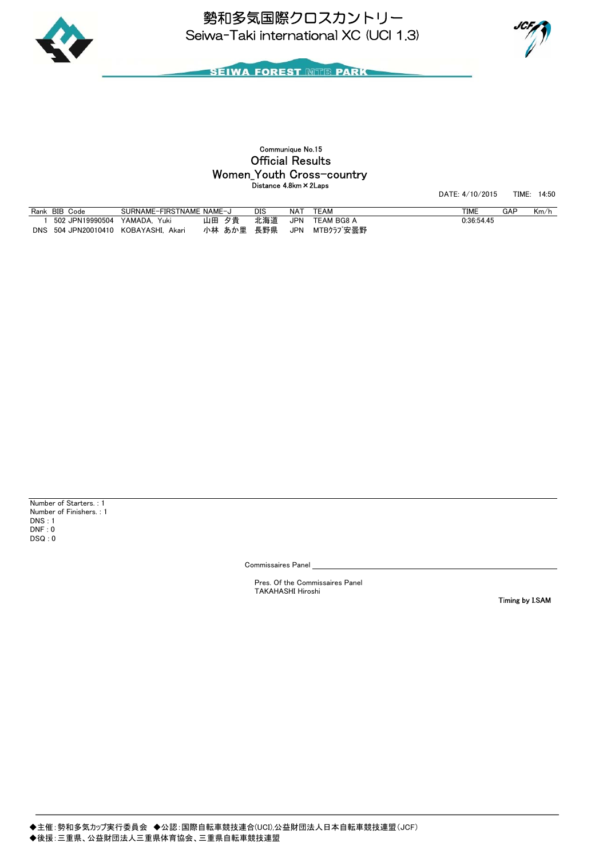



# Official Results Communique No.15 Distance 4.8km×2Laps Women\_Youth Cross-country

DATE: 4/10/2015 TIME: 14:50

| Rank       | BIB<br>Code         | SURNAME-FIRSTNAME   | NAME-J    | DIS | NAT | <b>TEAM</b>    | <b>TIME</b> | GAP | Km/h |
|------------|---------------------|---------------------|-----------|-----|-----|----------------|-------------|-----|------|
|            | UPN19990504_<br>502 | YAMADA.<br>Yuki     | 力害<br>山田  | 北海道 | JPN | TEAM BG8 A     | 0:36:54.45  |     |      |
| <b>DNS</b> | JPN20010410<br>504  | KOBAYASHI.<br>Akari | 小林<br>あか里 | 長野県 | JPN | MTBクラブ安曇野<br>M |             |     |      |

DSQ : 0 Number of Starters. : 1 Number of Finishers. : 1 DNS : 1 DNF : 0

Commissaires Panel

Pres. Of the Commissaires Panel TAKAHASHI Hiroshi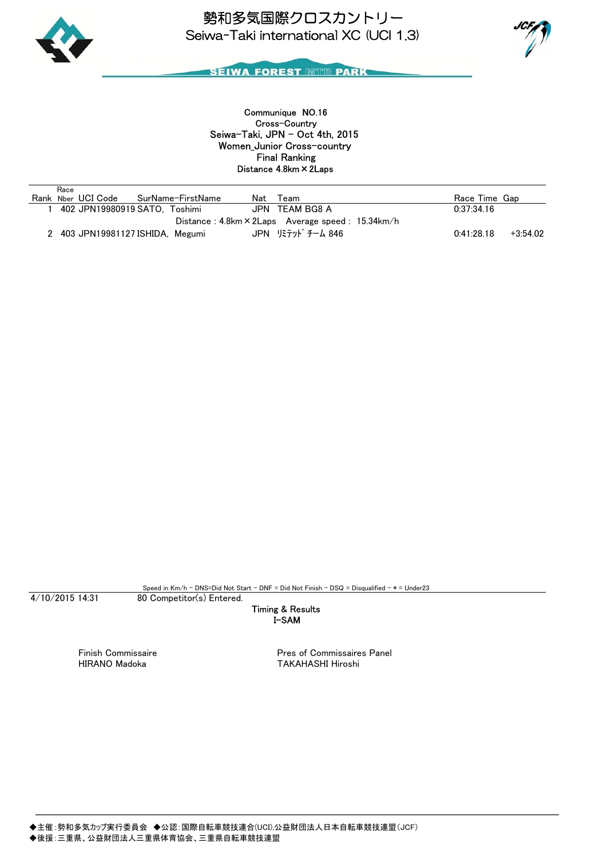



Women\_Junior Cross-country Seiwa-Taki, JPN - Oct 4th, 2015 Communique NO.16 Distance 4.8km×2Laps Final Ranking Cross-Country

| Race                                                       |                   |     |                   |               |            |  |  |
|------------------------------------------------------------|-------------------|-----|-------------------|---------------|------------|--|--|
| Rank Nber UCI Code                                         | SurName-FirstName | Nat | Team              | Race Time Gap |            |  |  |
| 402 JPN19980919 SATO. Toshimi                              |                   |     | JPN TEAM BG8 A    | 0:37:34.16    |            |  |  |
| Distance: $4.8$ km $\times$ 2Laps Average speed: 15.34km/h |                   |     |                   |               |            |  |  |
| 2 403 JPN19981127 ISHIDA. Megumi                           |                   |     | JPN リミテット゛チーム 846 | 0:41:28.18    | $+3:54.02$ |  |  |

4/10/2015 14:31

Speed in Km/h - DNS=Did Not Start - DNF = Did Not Finish - DSQ = Disqualified - \* = Under23

80 Competitor(s) Entered.

I-SAM Timing & Results

Finish Commissaire **Pres** of Commissaires Panel HIRANO Madoka TAKAHASHI Hiroshi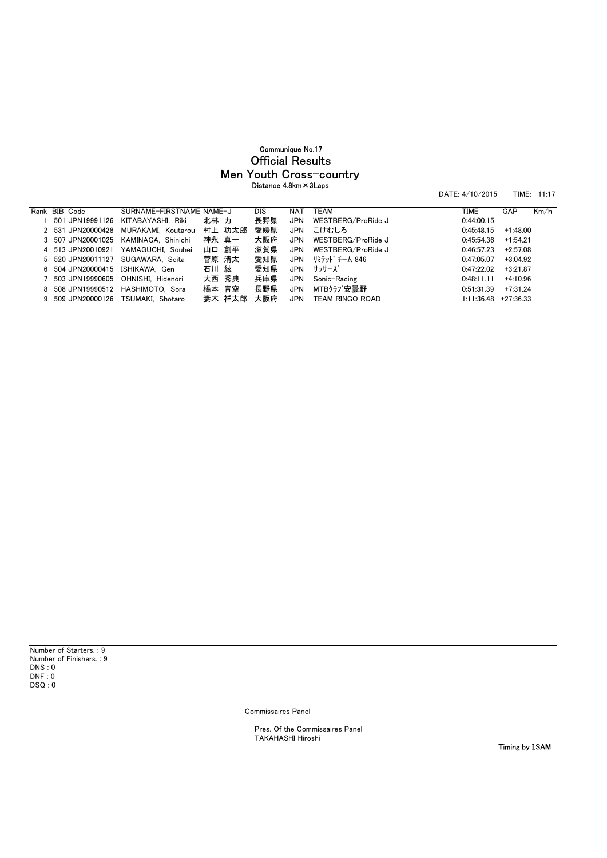# Men Youth Cross-country Official Results Communique No.17 Distance 4.8km×3Laps

DATE: 4/10/2015 TIME: 11:17

| Rank BIB Code                   | SURNAME-FIRSTNAME NAME-J            |       |        | DIS | <b>NAT</b> | TEAM               | TIME       | GAP         | Km/h |
|---------------------------------|-------------------------------------|-------|--------|-----|------------|--------------------|------------|-------------|------|
|                                 | 501 JPN19991126 KITABAYASHI, Riki   | 北林 力  |        | 長野県 | <b>JPN</b> | WESTBERG/ProRide J | 0:44:00.15 |             |      |
| 2 531 JPN20000428               | MURAKAMI. Koutarou                  |       | 村上 功太郎 | 愛媛県 | JPN        | こけむしろ              | 0:45:48.15 | $+1:48.00$  |      |
| 3 507 JPN20001025               | KAMINAGA, Shinichi                  | 神永 真一 |        | 大阪府 | <b>JPN</b> | WESTBERG/ProRide J | 0.45.54.36 | $+1:54.21$  |      |
|                                 | 4 513 JPN20010921 YAMAGUCHI. Souhei | 山口 創平 |        | 滋賀県 | <b>JPN</b> | WESTBERG/ProRide J | 0:46:57.23 | $+2:57.08$  |      |
|                                 | 5 520 JPN20011127 SUGAWARA. Seita   | 菅原 清太 |        | 愛知県 | <b>JPN</b> | リミテット゛チーム 846      | 0:47:05.07 | $+3:04.92$  |      |
| 6 504 JPN20000415 ISHIKAWA, Gen |                                     | 石川 絃  |        | 愛知県 |            | JPN サッサーズ          | 0.47.2202  | $+3:21.87$  |      |
|                                 | 503 JPN19990605 OHNISHI. Hidenori   | 大西 秀典 |        | 兵庫県 | JPN        | Sonic-Racing       | 0:48:11.11 | $+4:10.96$  |      |
|                                 | 8 508 JPN19990512 HASHIMOTO. Sora   | 橋本 青空 |        | 長野県 | <b>JPN</b> | MTBクラブ安曇野          | 0:51:31.39 | $+7:31.24$  |      |
| 9 509 JPN20000126               | TSUMAKI. Shotaro                    |       | 妻木 祥太郎 | 大阪府 | <b>JPN</b> | TEAM RINGO ROAD    | 1.11.3648  | $+27:36.33$ |      |

Commissaires Panel

Pres. Of the Commissaires Panel TAKAHASHI Hiroshi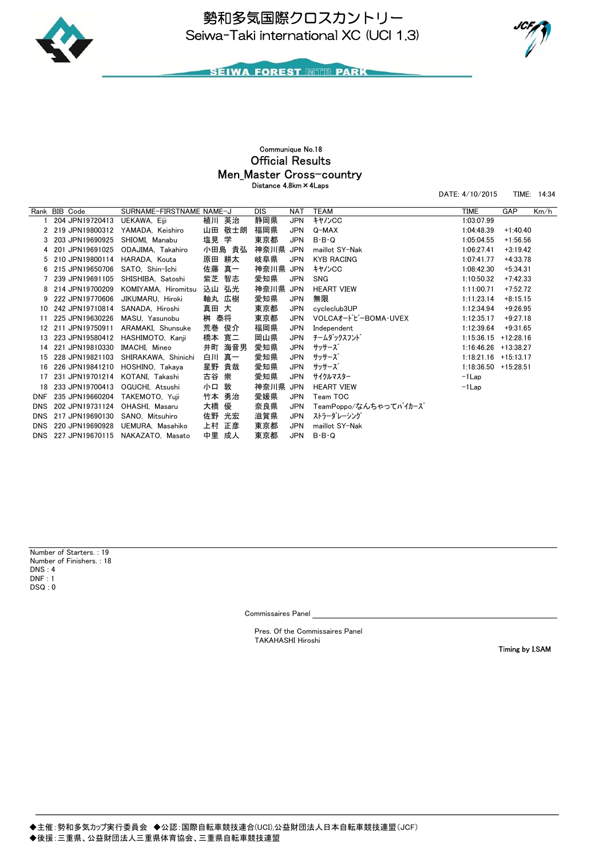



DATE: 4/10/2015 TIME: 14:34

**SEIWA FOREST MITE PARK** 

# Official Results Communique No.18 Distance 4.8km×4Laps Men Master Cross-country

Rank BIB Code SURNAME-FIRSTNAME NAME-J DIS NAT TEAM TIME GAP Km/h<br>1 204 JPN19720413 UEKAWA, Eiji 植川 英治 静岡県 JPN キヤハンCC 1:03:07.99 1 204 JPN 19720413 2 219 JPN19800312 YAMADA, Keishiro 山田 敬士朗 福岡県 JPN Q-MAX 1:04:48.39 +1:40.40 3 203 JPN19690925 SHIOMI, Manabu 塩見 学 東京都 JPN B·B·Q 1:05:04.55 +1:56.56 4 201 JPN19691025 ODAJIMA, Takahiro 小田島 貴弘 神奈川県 JPN maillot SY-Nak 1:06:27.41 +3:19.42 5 210 JPN19800114 HARADA, Kouta 原田 耕太 岐阜県 JPN KYB RACING 1:07:41.77 +4:33.78 6 215 JPN19650706 SATO, Shin-Ichi 佐藤 真一 神奈川県 JPN キヤノンCC 1:08:42.30 +5:34.31 7 239 JPN19691105 SHISHIBA, Satoshi 紫芝 智志 愛知県 JPN SNG 1:10:50.32 +7:42.33 8 214 JPN19700209 KOMIYAMA, Hiromitsu 込山 弘光 神奈川県 JPN HEART VIEW 1:11:00.71 +7:52.72 9 222 JPN19770606 JIKUMARU, Hiroki 軸丸 広樹 愛知県 JPN 無限 1:11:23.14 +8:15.15 10 242 JPN19710814 SANADA, Hiroshi 真田 大 東京都 JPN cycleclub3UP 1:12:34.94 +9:26.95 11 225 JPN19630226 MASU, Yasunobu 桝 泰将 東京都 JPN VOLCAオードビーBOMA・UVEX 1:12:35.17 +9:27.18 12 211 JPN19750911 ARAMAKI, Shunsuke 荒巻 俊介 福岡県 JPN Independent 1:12:39.64 +9:31.65 13 223 JPN19580412 HASHIMOTO, Kanji 橋本 寛二 岡山県 JPN チームダックスフンド 1:15:36.15 +12:28.16 14 221 JPN19810330 IMACHI, Mineo 井町 海音男 愛知県 JPN サッサーズ 1:16:46.26 +13:38.27 15 228 JPN19821103 SHIRAKAWA, Shinichi 白川 真一 愛知県 JPN サッサーズ 1:18:21.16 +15:13.17 16 226 JPN19841210 HOSHINO, Takaya 星野 貴哉 愛知県 JPN サッサーズ 1:18:36.50 +15:28.51 17 231 JPN19701214 KOTANI, Takashi 古谷 崇 愛知県 JPN サイクルマスター -1Lap 18 233 JPN19700413 OGUCHI, Atsushi 小口 敦 神奈川県 JPN HEART VIEW -1Lap DNF 235 JPN19660204 TAKEMOTO, Yuji 竹本 勇治 愛媛県 JPN Team TOC DNS 202 JPN19731124 OHASHI, Masaru 大橋 優 奈良県 JPN TeamPoppo/なんちゃってバイカーズ DNS 217 JPN19690130 SANO, Mitsuhiro 佐野 光宏 滋賀県 JPN ストラーダレーシング DNS 220 JPN19690928 UEMURA, Masahiko 上村 正彦 東京都 JPN maillot SY-Nak DNS 227 JPN19670115 NAKAZATO, Masato 中里 成人 東京都 JPN B・B・Q

 $DSQ:0$ Number of Starters. : 19 Number of Finishers. : 18 DNS : 4  $DNF \cdot 1$ 

Commissaires Panel

Pres. Of the Commissaires Panel TAKAHASHI Hiroshi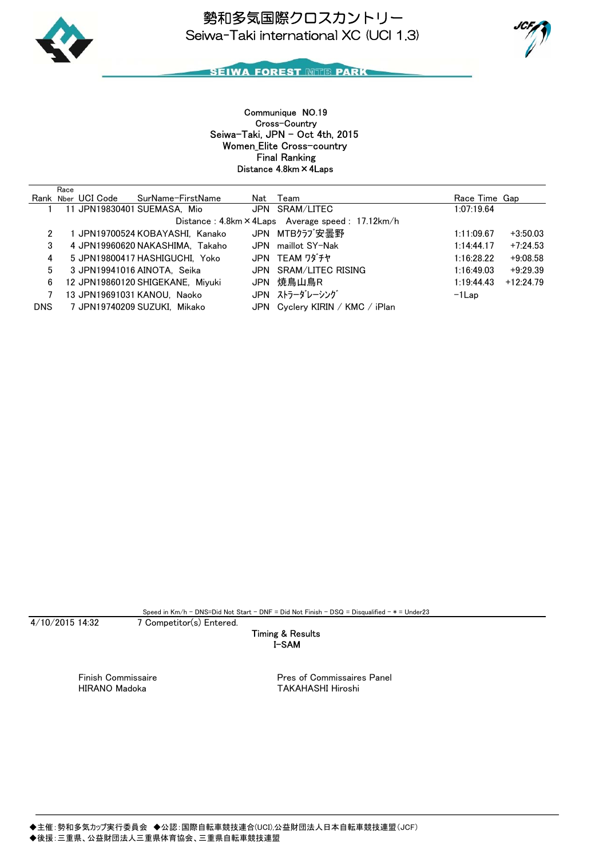



## **SEIWA FOREST MITE PARK**

Women\_Elite Cross-country Seiwa-Taki, JPN - Oct 4th, 2015 Communique NO.19 Distance 4.8km×4Laps Final Ranking Cross-Country

|            | Race |                                      |                                                  |               |             |
|------------|------|--------------------------------------|--------------------------------------------------|---------------|-------------|
|            |      | Rank Nber UCI Code SurName-FirstName | Nat Team                                         | Race Time Gap |             |
|            |      | 11 JPN19830401 SUEMASA, Mio          | JPN SRAM/LITEC                                   | 1:07:19.64    |             |
|            |      |                                      | Distance: 4.8km × 4Laps Average speed: 17.12km/h |               |             |
| 2          |      | 1 JPN19700524 KOBAYASHI, Kanako      | JPN MTBクラブ安曇野                                    | 1:11:09.67    | $+3:50.03$  |
| 3          |      | 4 JPN19960620 NAKASHIMA. Takaho      | JPN maillot SY-Nak                               | 1:14:44.17    | $+7:24.53$  |
| 4          |      | 5 JPN19800417 HASHIGUCHI. Yoko       | JPN TEAM ワダチヤ                                    | 1:16:28.22    | $+9:08.58$  |
| 5.         |      | 3 JPN19941016 AINOTA. Seika          | JPN SRAM/LITEC RISING                            | 1:16:49.03    | $+9:29.39$  |
| 6          |      | 12 JPN19860120 SHIGEKANE. Mivuki     | JPN 焼鳥山鳥R                                        | 1:19:44.43    | $+12:24.79$ |
|            |      | 13 JPN19691031 KANOU, Naoko          | JPN ストラーダレーシング                                   | $-1$ Lap      |             |
| <b>DNS</b> |      | 7 JPN19740209 SUZUKI. Mikako         | JPN Cyclery KIRIN / KMC / iPlan                  |               |             |

Speed in Km/h - DNS=Did Not Start - DNF = Did Not Finish - DSQ = Disqualified - \* = Under23

#### 7 Competitor(s) Entered.

### I-SAM Timing & Results

4/10/2015 14:32

Finish Commissaire **Pres of Commissaires Panel** HIRANO Madoka TAKAHASHI Hiroshi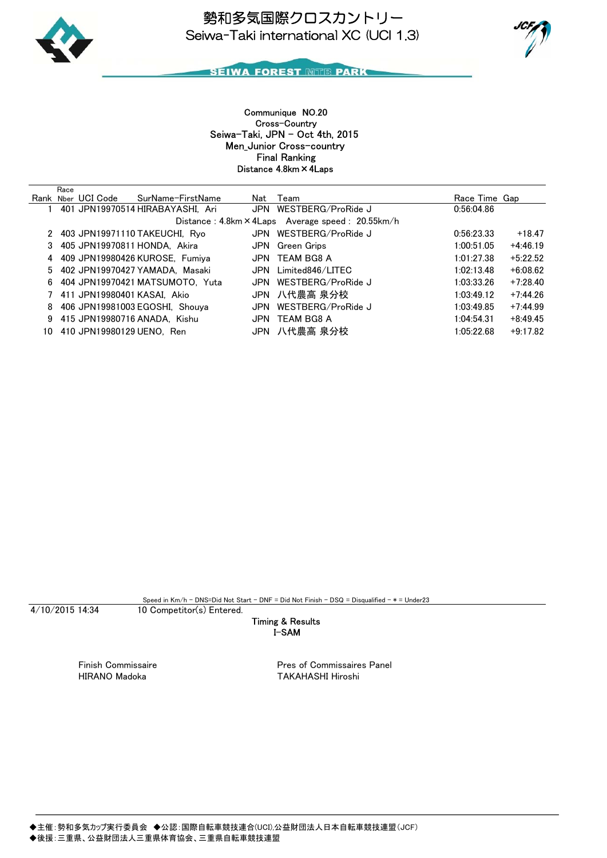



Men\_Junior Cross-country Seiwa-Taki, JPN - Oct 4th, 2015 Communique NO.20 Distance 4.8km×4Laps Final Ranking Cross-Country

|    | Race |                           |                                  |            |                                                         |               |            |
|----|------|---------------------------|----------------------------------|------------|---------------------------------------------------------|---------------|------------|
|    |      | Rank Nber UCI Code        | SurName-FirstName                | Nat        | Team                                                    | Race Time Gap |            |
|    |      |                           | 401 JPN19970514 HIRABAYASHI. Ari |            | JPN WESTBERG/ProRide J                                  | 0:56:04.86    |            |
|    |      |                           |                                  |            | Distance: $4.8km \times 4Laps$ Average speed: 20.55km/h |               |            |
|    |      |                           | 2 403 JPN19971110 TAKEUCHI, Ryo  |            | JPN WESTBERG/ProRide J                                  | 0.56:23.33    | $+18.47$   |
|    |      |                           | 3 405 JPN19970811 HONDA, Akira   | JPN        | Green Grips                                             | 1:00:51.05    | $+4:46.19$ |
|    |      |                           | 4 409 JPN19980426 KUROSE, Fumiya | JPN        | TEAM BG8 A                                              | 1:01:27.38    | $+5:22.52$ |
|    |      |                           | 5 402 JPN19970427 YAMADA. Masaki | JPN        | Limited846/LITEC                                        | 1:02:13.48    | $+6:08.62$ |
| 6  |      |                           | 404 JPN19970421 MATSUMOTO, Yuta  | <b>JPN</b> | WESTBERG/ProRide J                                      | 1:03:33.26    | $+7:28.40$ |
|    |      |                           | 411 JPN19980401 KASAI, Akio      |            | JPN 八代農高 泉分校                                            | 1:03:49.12    | $+7:44.26$ |
| 8  |      |                           | 406 JPN19981003 EGOSHI, Shouva   | JPN        | WESTBERG/ProRide J                                      | 1:03:49.85    | $+7:44.99$ |
| 9. |      |                           | 415 JPN19980716 ANADA. Kishu     | JPN        | TEAM BG8 A                                              | 1:04:54.31    | $+8:49.45$ |
| 10 |      | 410 JPN19980129 UENO. Ren |                                  |            | JPN 八代農高 泉分校                                            | 1:05:22.68    | $+9:17.82$ |

Speed in  $Km/h$  - DNS=Did Not Start - DNF = Did Not Finish - DSQ = Disqualified -  $*$  = Under23

4/10/2015 14:34

10 Competitor(s) Entered.

### I-SAM Timing & Results

Finish Commissaire **Pres of Commissaires Panel**<br>HIRANO Madoka Pres Commissaires Panel TAKAHASHI Hiroshi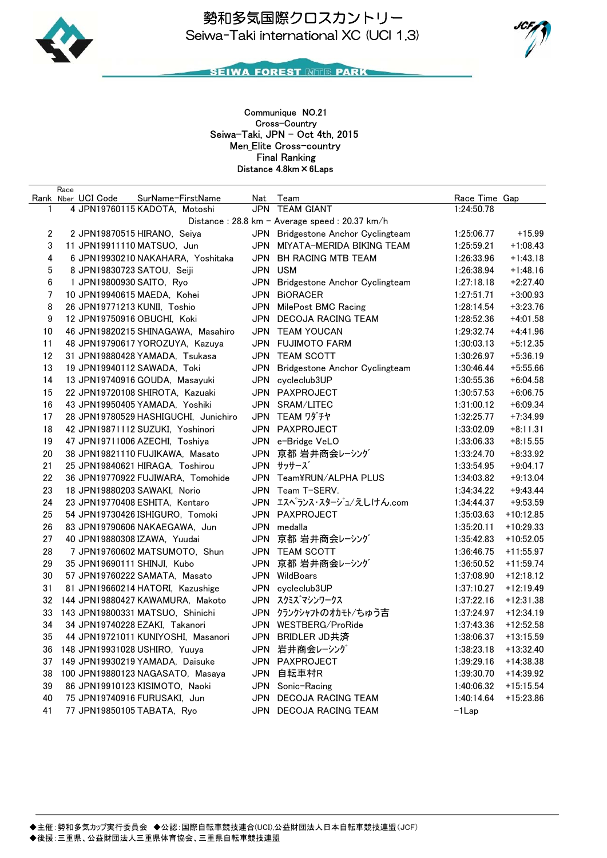



Men\_Elite Cross-country Seiwa-Taki, JPN - Oct 4th, 2015 Communique NO.21 Distance 4.8km×6Laps Final Ranking Cross-Country

|                | Race |                          |                                      |     |                                               |               |             |
|----------------|------|--------------------------|--------------------------------------|-----|-----------------------------------------------|---------------|-------------|
|                |      | Rank Nber UCI Code       | SurName-FirstName                    |     | Nat Team                                      | Race Time Gap |             |
| 1              |      |                          | 4 JPN19760115 KADOTA, Motoshi        |     | JPN TEAM GIANT                                | 1:24:50.78    |             |
|                |      |                          |                                      |     | Distance: 28.8 km - Average speed: 20.37 km/h |               |             |
| $\overline{c}$ |      |                          | 2 JPN19870515 HIRANO, Seiya          |     | JPN Bridgestone Anchor Cyclingteam            | 1:25:06.77    | $+15.99$    |
| 3              |      |                          | 11 JPN19911110 MATSUO, Jun           |     | JPN MIYATA-MERIDA BIKING TEAM                 | 1:25:59.21    | $+1:08.43$  |
| 4              |      |                          | 6 JPN19930210 NAKAHARA, Yoshitaka    |     | JPN BH RACING MTB TEAM                        | 1:26:33.96    | $+1:43.18$  |
| 5              |      |                          | 8 JPN19830723 SATOU, Seiji           |     | JPN USM                                       | 1:26:38.94    | $+1:48.16$  |
| 6              |      | 1 JPN19800930 SAITO, Ryo |                                      |     | JPN Bridgestone Anchor Cyclingteam            | 1:27:18.18    | $+2:27.40$  |
| 7              |      |                          | 10 JPN19940615 MAEDA, Kohei          |     | JPN BIORACER                                  | 1:27:51.71    | $+3:00.93$  |
| 8              |      |                          | 26 JPN19771213 KUNII, Toshio         |     | JPN MilePost BMC Racing                       | 1:28:14.54    | $+3:23.76$  |
| 9              |      |                          | 12 JPN19750916 OBUCHI, Koki          |     | JPN DECOJA RACING TEAM                        | 1:28:52.36    | $+4:01.58$  |
| 10             |      |                          | 46 JPN19820215 SHINAGAWA, Masahiro   |     | JPN TEAM YOUCAN                               | 1:29:32.74    | $+4:41.96$  |
| 11             |      |                          | 48 JPN19790617 YOROZUYA, Kazuya      |     | JPN FUJIMOTO FARM                             | 1:30:03.13    | $+5:12.35$  |
| 12             |      |                          | 31 JPN19880428 YAMADA, Tsukasa       |     | JPN TEAM SCOTT                                | 1:30:26.97    | $+5:36.19$  |
| 13             |      |                          | 19 JPN19940112 SAWADA, Toki          | JPN | Bridgestone Anchor Cyclingteam                | 1:30:46.44    | $+5:55.66$  |
| 14             |      |                          | 13 JPN19740916 GOUDA, Masayuki       |     | JPN cycleclub3UP                              | 1:30:55.36    | $+6:04.58$  |
| 15             |      |                          | 22 JPN19720108 SHIROTA, Kazuaki      |     | JPN PAXPROJECT                                | 1:30:57.53    | $+6:06.75$  |
| 16             |      |                          | 43 JPN19950405 YAMADA, Yoshiki       |     | JPN SRAM/LITEC                                | 1:31:00.12    | $+6:09.34$  |
| 17             |      |                          | 28 JPN19780529 HASHIGUCHI, Junichiro |     | JPN TEAM ワダチヤ                                 | 1:32:25.77    | $+7:34.99$  |
| 18             |      |                          | 42 JPN19871112 SUZUKI, Yoshinori     |     | JPN PAXPROJECT                                | 1:33:02.09    | $+8:11.31$  |
| 19             |      |                          | 47 JPN19711006 AZECHI, Toshiya       |     | JPN e-Bridge VeLO                             | 1:33:06.33    | $+8:15.55$  |
| 20             |      |                          | 38 JPN19821110 FUJIKAWA, Masato      |     | JPN 京都 岩井商会レーシング                              | 1:33:24.70    | $+8:33.92$  |
| 21             |      |                          | 25 JPN19840621 HIRAGA, Toshirou      |     | JPN サッサーズ                                     | 1:33:54.95    | $+9:04.17$  |
| 22             |      |                          | 36 JPN19770922 FUJIWARA, Tomohide    |     | JPN Team¥RUN/ALPHA PLUS                       | 1:34:03.82    | $+9:13.04$  |
| 23             |      |                          | 18 JPN19880203 SAWAKI, Norio         |     | JPN Team T-SERV.                              | 1:34:34.22    | $+9:43.44$  |
| 24             |      |                          | 23 JPN19770408 ESHITA, Kentaro       |     | JPN エスペランス・スタージュ/えしけん.com                     | 1:34:44.37    | $+9:53.59$  |
| 25             |      |                          | 54 JPN19730426 ISHIGURO, Tomoki      |     | JPN PAXPROJECT                                | 1:35:03.63    | $+10:12.85$ |
| 26             |      |                          | 83 JPN19790606 NAKAEGAWA, Jun        |     | JPN medalla                                   | 1:35:20.11    | $+10:29.33$ |
| 27             |      |                          | 40 JPN19880308 IZAWA, Yuudai         |     | JPN 京都 岩井商会レーシング                              | 1:35:42.83    | $+10:52.05$ |
| 28             |      |                          | 7 JPN19760602 MATSUMOTO, Shun        |     | JPN TEAM SCOTT                                | 1:36:46.75    | $+11:55.97$ |
| 29             |      |                          | 35 JPN19690111 SHINJI, Kubo          |     | JPN 京都 岩井商会レーシング                              | 1:36:50.52    | $+11:59.74$ |
| 30             |      |                          | 57 JPN19760222 SAMATA, Masato        |     | JPN WildBoars                                 | 1:37:08.90    | $+12:18.12$ |
| 31             |      |                          | 81 JPN19660214 HATORI, Kazushige     |     | JPN cycleclub3UP                              | 1:37:10.27    | $+12:19.49$ |
| 32             |      |                          | 144 JPN19880427 KAWAMURA, Makoto     |     | JPN スクミズマシンワークス                               | 1:37:22.16    | $+12:31.38$ |
| 33             |      |                          | 143 JPN19800331 MATSUO, Shinichi     |     | JPN クランクシャフトのオカモト/ちゅう吉                        | 1:37:24.97    | $+12:34.19$ |
| 34             |      |                          | 34 JPN19740228 EZAKI, Takanori       |     | JPN WESTBERG/ProRide                          | 1:37:43.36    | $+12:52.58$ |
| 35             |      |                          | 44 JPN19721011 KUNIYOSHI, Masanori   |     | JPN BRIDLER JD共済                              | 1:38:06.37    | $+13:15.59$ |
| 36             |      |                          | 148 JPN19931028 USHIRO, Yuuya        |     | JPN 岩井商会レーシング                                 | 1:38:23.18    | $+13:32.40$ |
| 37             |      |                          | 149 JPN19930219 YAMADA, Daisuke      | JPN | PAXPROJECT                                    | 1:39:29.16    | $+14:38.38$ |
| 38             |      |                          | 100 JPN19880123 NAGASATO, Masaya     | JPN | 自転車村R                                         | 1:39:30.70    | $+14:39.92$ |
| 39             |      |                          | 86 JPN19910123 KISIMOTO, Naoki       | JPN | Sonic-Racing                                  | 1:40:06.32    | $+15:15.54$ |
| 40             |      |                          | 75 JPN19740916 FURUSAKI, Jun         | JPN | DECOJA RACING TEAM                            | 1:40:14.64    | $+15:23.86$ |
| 41             |      |                          | 77 JPN19850105 TABATA, Ryo           |     | JPN DECOJA RACING TEAM                        | $-1$ Lap      |             |
|                |      |                          |                                      |     |                                               |               |             |